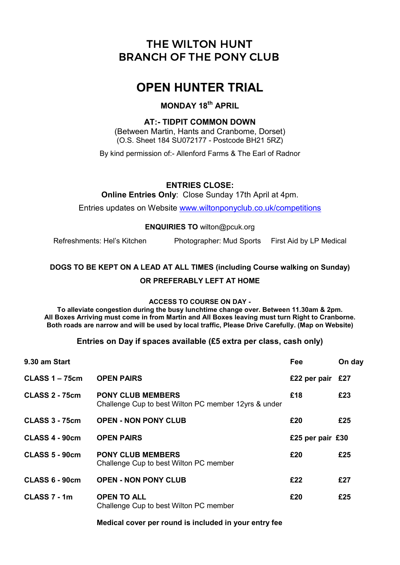# THE WILTON HUNT BRANCH OF THE PONY CLUB

# OPEN HUNTER TRIAL

# MONDAY 18<sup>th</sup> APRIL

# AT:- TIDPIT COMMON DOWN

(Between Martin, Hants and Cranbome, Dorset) (O.S. Sheet 184 SU072177 - Postcode BH21 5RZ)

By kind permission of:- Allenford Farms & The Earl of Radnor

## ENTRIES CLOSE:

Online Entries Only: Close Sunday 17th April at 4pm.

Entries updates on Website www.wiltonponyclub.co.uk/competitions

#### ENQUIRIES TO wilton@pcuk.org

Refreshments: Hel's Kitchen Photographer: Mud Sports First Aid by LP Medical

# DOGS TO BE KEPT ON A LEAD AT ALL TIMES (including Course walking on Sunday) OR PREFERABLY LEFT AT HOME

#### ACCESS TO COURSE ON DAY -

To alleviate congestion during the busy lunchtime change over. Between 11.30am & 2pm. All Boxes Arriving must come in from Martin and All Boxes leaving must turn Right to Cranborne. Both roads are narrow and will be used by local traffic, Please Drive Carefully. (Map on Website)

## Entries on Day if spaces available (£5 extra per class, cash only)

| 9.30 am Start         |                                                                                  | Fee                | On day |
|-----------------------|----------------------------------------------------------------------------------|--------------------|--------|
| <b>CLASS 1 – 75cm</b> | <b>OPEN PAIRS</b>                                                                | £22 per pair $£27$ |        |
| <b>CLASS 2 - 75cm</b> | <b>PONY CLUB MEMBERS</b><br>Challenge Cup to best Wilton PC member 12yrs & under | £18                | £23    |
| <b>CLASS 3 - 75cm</b> | <b>OPEN - NON PONY CLUB</b>                                                      | £20                | £25    |
| CLASS 4 - 90cm        | <b>OPEN PAIRS</b>                                                                | £25 per pair £30   |        |
| <b>CLASS 5 - 90cm</b> | <b>PONY CLUB MEMBERS</b><br>Challenge Cup to best Wilton PC member               | £20                | £25    |
| CLASS 6 - 90cm        | <b>OPEN - NON PONY CLUB</b>                                                      | £22                | £27    |
| CLASS 7 - 1m          | <b>OPEN TO ALL</b><br>Challenge Cup to best Wilton PC member                     | £20                | £25    |

Medical cover per round is included in your entry fee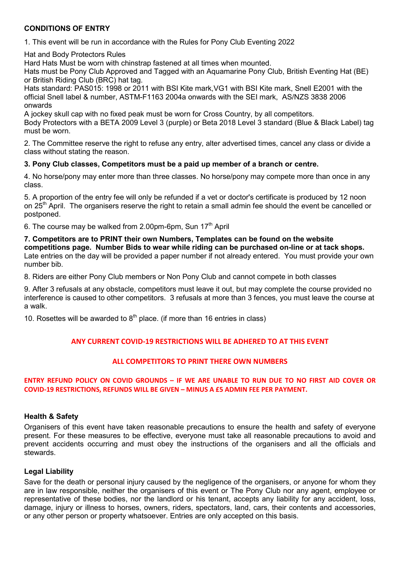## CONDITIONS OF ENTRY

1. This event will be run in accordance with the Rules for Pony Club Eventing 2022

Hat and Body Protectors Rules

Hard Hats Must be worn with chinstrap fastened at all times when mounted.

Hats must be Pony Club Approved and Tagged with an Aquamarine Pony Club, British Eventing Hat (BE) or British Riding Club (BRC) hat tag.

Hats standard: PAS015: 1998 or 2011 with BSI Kite mark,VG1 with BSI Kite mark, Snell E2001 with the official Snell label & number, ASTM-F1163 2004a onwards with the SEI mark, AS/NZS 3838 2006 onwards

A jockey skull cap with no fixed peak must be worn for Cross Country, by all competitors.

Body Protectors with a BETA 2009 Level 3 (purple) or Beta 2018 Level 3 standard (Blue & Black Label) tag must be worn.

2. The Committee reserve the right to refuse any entry, alter advertised times, cancel any class or divide a class without stating the reason.

#### 3. Pony Club classes, Competitors must be a paid up member of a branch or centre.

4. No horse/pony may enter more than three classes. No horse/pony may compete more than once in any class.

5. A proportion of the entry fee will only be refunded if a vet or doctor's certificate is produced by 12 noon on 25<sup>th</sup> April. The organisers reserve the right to retain a small admin fee should the event be cancelled or postponed.

6. The course may be walked from 2.00pm-6pm, Sun  $17<sup>th</sup>$  April

7. Competitors are to PRINT their own Numbers, Templates can be found on the website competitions page. Number Bids to wear while riding can be purchased on-line or at tack shops. Late entries on the day will be provided a paper number if not already entered. You must provide your own number bib.

8. Riders are either Pony Club members or Non Pony Club and cannot compete in both classes

9. After 3 refusals at any obstacle, competitors must leave it out, but may complete the course provided no interference is caused to other competitors. 3 refusals at more than 3 fences, you must leave the course at a walk.

10. Rosettes will be awarded to  $8<sup>th</sup>$  place. (if more than 16 entries in class)

## ANY CURRENT COVID-19 RESTRICTIONS WILL BE ADHERED TO AT THIS EVENT

## ALL COMPETITORS TO PRINT THERE OWN NUMBERS

#### ENTRY REFUND POLICY ON COVID GROUNDS – IF WE ARE UNABLE TO RUN DUE TO NO FIRST AID COVER OR COVID-19 RESTRICTIONS, REFUNDS WILL BE GIVEN – MINUS A £5 ADMIN FEE PER PAYMENT.

## Health & Safety

Organisers of this event have taken reasonable precautions to ensure the health and safety of everyone present. For these measures to be effective, everyone must take all reasonable precautions to avoid and prevent accidents occurring and must obey the instructions of the organisers and all the officials and stewards.

#### Legal Liability

Save for the death or personal injury caused by the negligence of the organisers, or anyone for whom they are in law responsible, neither the organisers of this event or The Pony Club nor any agent, employee or representative of these bodies, nor the landlord or his tenant, accepts any liability for any accident, loss, damage, injury or illness to horses, owners, riders, spectators, land, cars, their contents and accessories, or any other person or property whatsoever. Entries are only accepted on this basis.